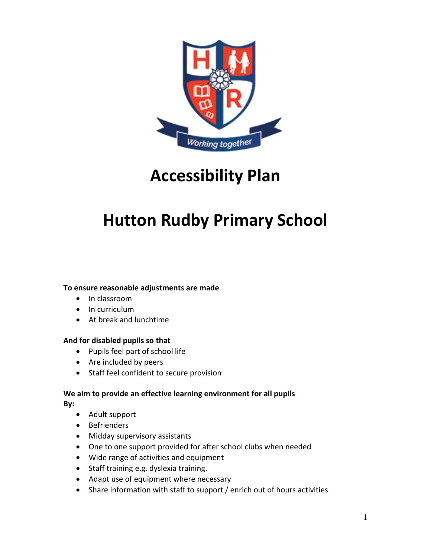

# **Accessibility Plan**

# **Hutton Rudby Primary School**

# **To ensure reasonable adjustments are made**

- In classroom
- In curriculum
- At break and lunchtime

#### **And for disabled pupils so that**

- Pupils feel part of school life
- Are included by peers
- Staff feel confident to secure provision

# **We aim to provide an effective learning environment for all pupils**

**By:**

- Adult support
- Befrienders
- Midday supervisory assistants
- One to one support provided for after school clubs when needed
- Wide range of activities and equipment
- Staff training e.g. dyslexia training.
- Adapt use of equipment where necessary
- Share information with staff to support / enrich out of hours activities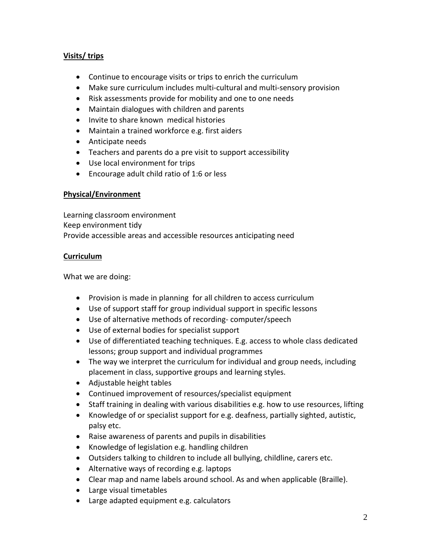# **Visits/ trips**

- Continue to encourage visits or trips to enrich the curriculum
- Make sure curriculum includes multi-cultural and multi-sensory provision
- Risk assessments provide for mobility and one to one needs
- Maintain dialogues with children and parents
- Invite to share known medical histories
- Maintain a trained workforce e.g. first aiders
- Anticipate needs
- Teachers and parents do a pre visit to support accessibility
- Use local environment for trips
- Encourage adult child ratio of 1:6 or less

# **Physical/Environment**

Learning classroom environment Keep environment tidy Provide accessible areas and accessible resources anticipating need

### **Curriculum**

What we are doing:

- Provision is made in planning for all children to access curriculum
- Use of support staff for group individual support in specific lessons
- Use of alternative methods of recording- computer/speech
- Use of external bodies for specialist support
- Use of differentiated teaching techniques. E.g. access to whole class dedicated lessons; group support and individual programmes
- The way we interpret the curriculum for individual and group needs, including placement in class, supportive groups and learning styles.
- Adjustable height tables
- Continued improvement of resources/specialist equipment
- Staff training in dealing with various disabilities e.g. how to use resources, lifting
- Knowledge of or specialist support for e.g. deafness, partially sighted, autistic, palsy etc.
- Raise awareness of parents and pupils in disabilities
- Knowledge of legislation e.g. handling children
- Outsiders talking to children to include all bullying, childline, carers etc.
- Alternative ways of recording e.g. laptops
- Clear map and name labels around school. As and when applicable (Braille).
- Large visual timetables
- Large adapted equipment e.g. calculators